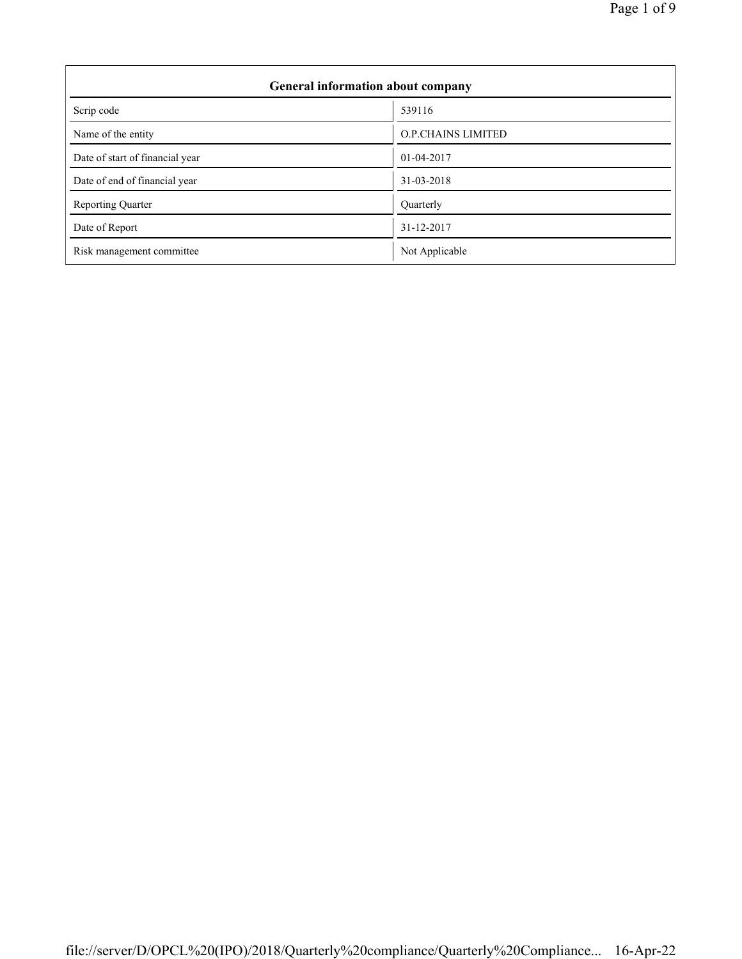| Page 1 of 9 |  |  |  |
|-------------|--|--|--|
|-------------|--|--|--|

| General information about company |                           |  |  |
|-----------------------------------|---------------------------|--|--|
| Scrip code                        | 539116                    |  |  |
| Name of the entity                | <b>O.P.CHAINS LIMITED</b> |  |  |
| Date of start of financial year   | 01-04-2017                |  |  |
| Date of end of financial year     | 31-03-2018                |  |  |
| <b>Reporting Quarter</b>          | Quarterly                 |  |  |
| Date of Report                    | 31-12-2017                |  |  |
| Risk management committee         | Not Applicable            |  |  |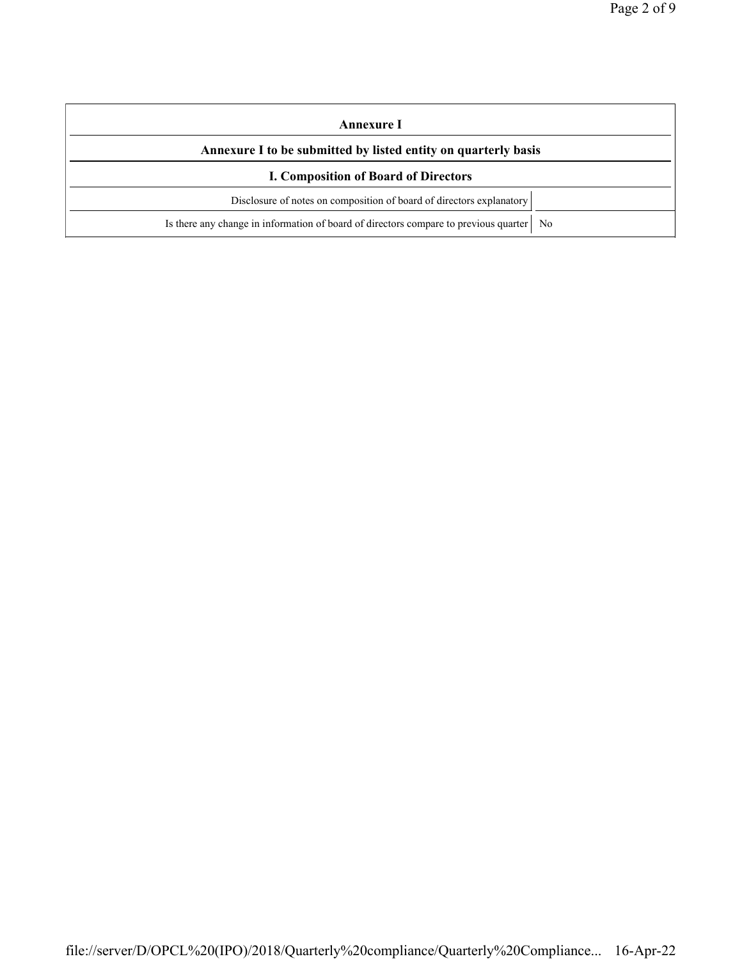| Annexure I                                                                                |  |  |
|-------------------------------------------------------------------------------------------|--|--|
| Annexure I to be submitted by listed entity on quarterly basis                            |  |  |
| <b>I. Composition of Board of Directors</b>                                               |  |  |
| Disclosure of notes on composition of board of directors explanatory                      |  |  |
| Is there any change in information of board of directors compare to previous quarter   No |  |  |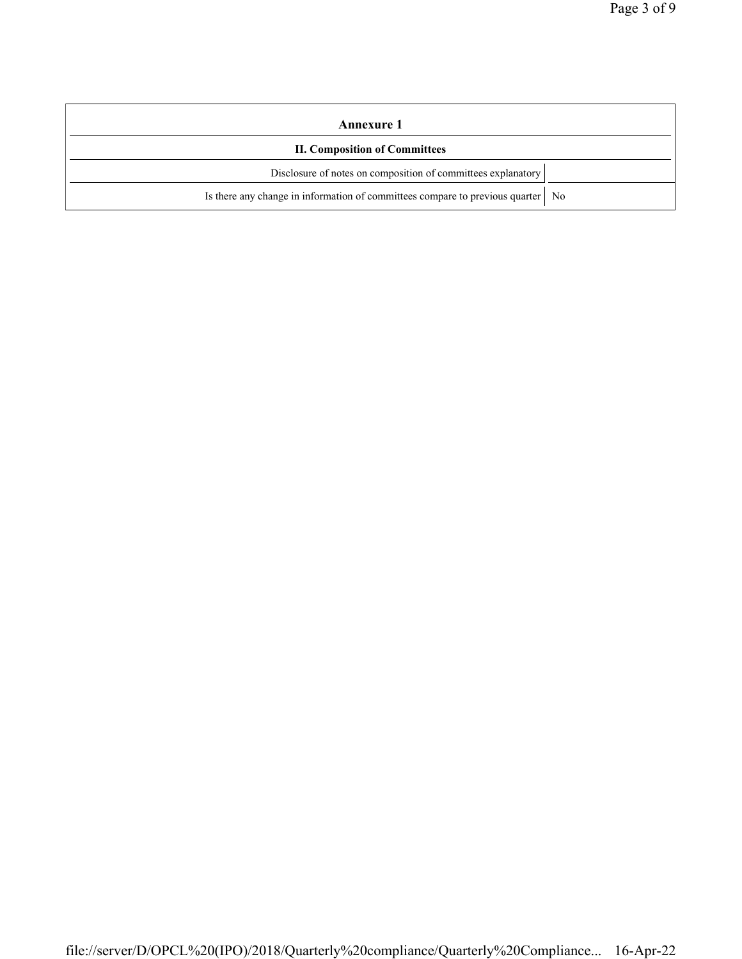| Annexure 1                                                                        |  |  |
|-----------------------------------------------------------------------------------|--|--|
| <b>II. Composition of Committees</b>                                              |  |  |
| Disclosure of notes on composition of committees explanatory                      |  |  |
| Is there any change in information of committees compare to previous quarter   No |  |  |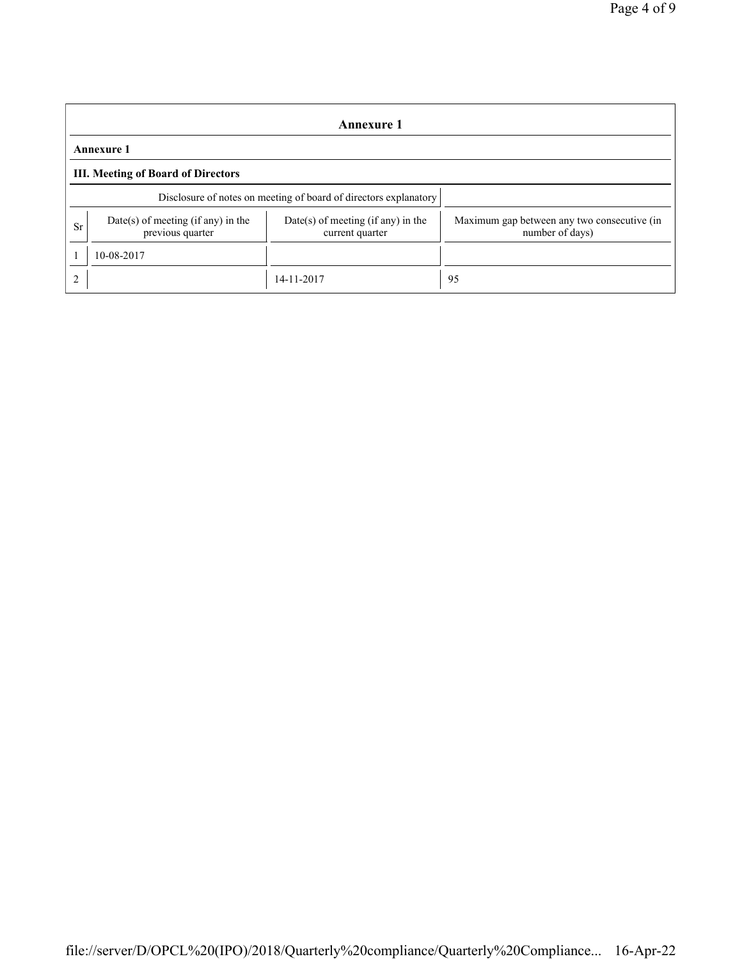|                | Annexure 1                                                       |                                                       |                                                                |  |  |
|----------------|------------------------------------------------------------------|-------------------------------------------------------|----------------------------------------------------------------|--|--|
|                | <b>Annexure 1</b>                                                |                                                       |                                                                |  |  |
|                | <b>III. Meeting of Board of Directors</b>                        |                                                       |                                                                |  |  |
|                | Disclosure of notes on meeting of board of directors explanatory |                                                       |                                                                |  |  |
| Sr             | Date(s) of meeting (if any) in the<br>previous quarter           | Date(s) of meeting (if any) in the<br>current quarter | Maximum gap between any two consecutive (in<br>number of days) |  |  |
|                | 10-08-2017                                                       |                                                       |                                                                |  |  |
| $\overline{2}$ |                                                                  | 14-11-2017                                            | 95                                                             |  |  |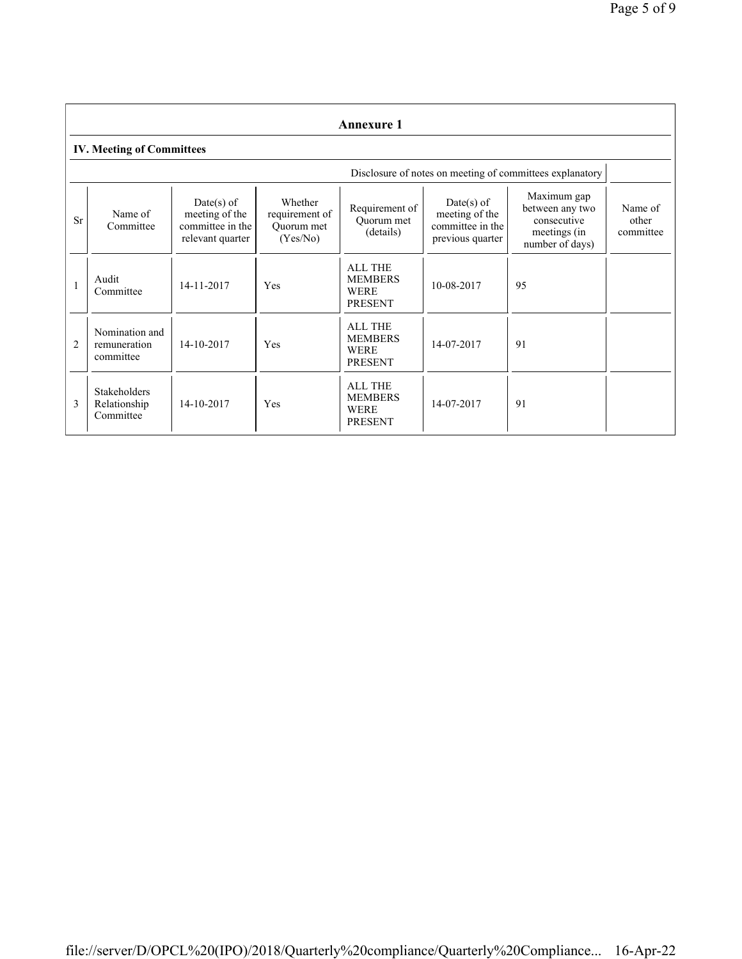|                | <b>Annexure 1</b>                                |                                                                        |                                                     |                                                                   |                                                                        |                                                                                  |                               |
|----------------|--------------------------------------------------|------------------------------------------------------------------------|-----------------------------------------------------|-------------------------------------------------------------------|------------------------------------------------------------------------|----------------------------------------------------------------------------------|-------------------------------|
|                | <b>IV. Meeting of Committees</b>                 |                                                                        |                                                     |                                                                   |                                                                        |                                                                                  |                               |
|                |                                                  |                                                                        |                                                     |                                                                   |                                                                        | Disclosure of notes on meeting of committees explanatory                         |                               |
| <b>Sr</b>      | Name of<br>Committee                             | $Date(s)$ of<br>meeting of the<br>committee in the<br>relevant quarter | Whether<br>requirement of<br>Ouorum met<br>(Yes/No) | Requirement of<br>Quorum met<br>(details)                         | $Date(s)$ of<br>meeting of the<br>committee in the<br>previous quarter | Maximum gap<br>between any two<br>consecutive<br>meetings (in<br>number of days) | Name of<br>other<br>committee |
| $\mathbf{1}$   | Audit<br>Committee                               | 14-11-2017                                                             | Yes                                                 | <b>ALL THE</b><br><b>MEMBERS</b><br><b>WERE</b><br><b>PRESENT</b> | 10-08-2017                                                             | 95                                                                               |                               |
| $\overline{2}$ | Nomination and<br>remuneration<br>committee      | 14-10-2017                                                             | Yes                                                 | <b>ALL THE</b><br><b>MEMBERS</b><br><b>WERE</b><br><b>PRESENT</b> | 14-07-2017                                                             | 91                                                                               |                               |
| 3              | <b>Stakeholders</b><br>Relationship<br>Committee | 14-10-2017                                                             | Yes                                                 | <b>ALL THE</b><br><b>MEMBERS</b><br><b>WERE</b><br><b>PRESENT</b> | 14-07-2017                                                             | 91                                                                               |                               |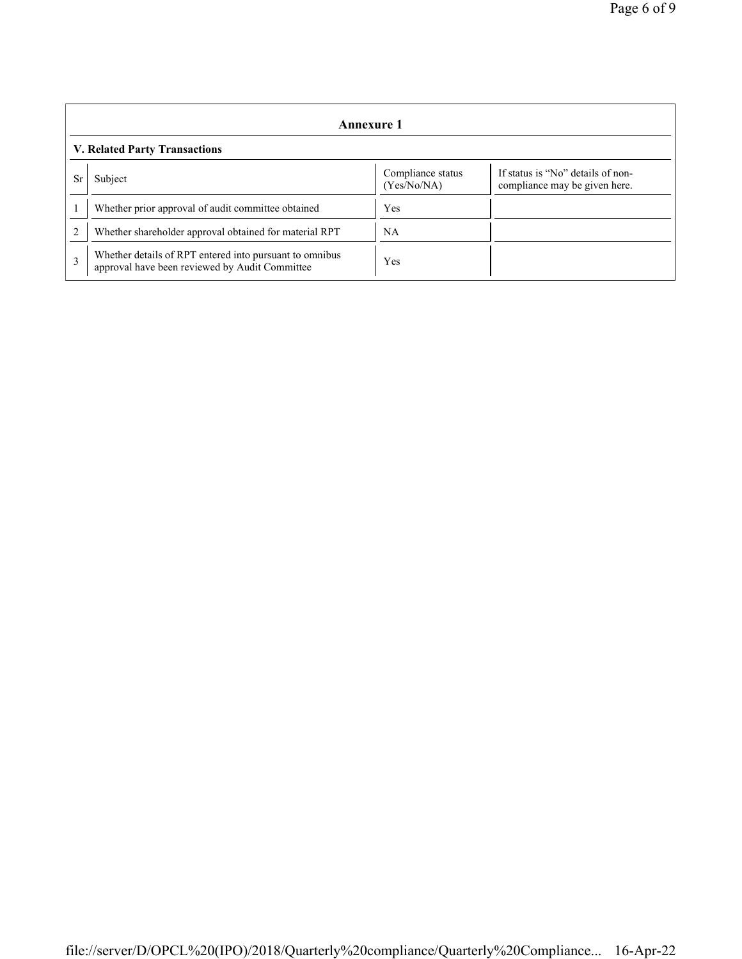|                               | Annexure 1                                                                                                |                                  |                                                                    |  |  |
|-------------------------------|-----------------------------------------------------------------------------------------------------------|----------------------------------|--------------------------------------------------------------------|--|--|
| V. Related Party Transactions |                                                                                                           |                                  |                                                                    |  |  |
| Sr                            | Subject                                                                                                   | Compliance status<br>(Yes/No/NA) | If status is "No" details of non-<br>compliance may be given here. |  |  |
|                               | Whether prior approval of audit committee obtained                                                        | Yes                              |                                                                    |  |  |
|                               | Whether shareholder approval obtained for material RPT                                                    | NA                               |                                                                    |  |  |
| 3                             | Whether details of RPT entered into pursuant to omnibus<br>approval have been reviewed by Audit Committee | Yes                              |                                                                    |  |  |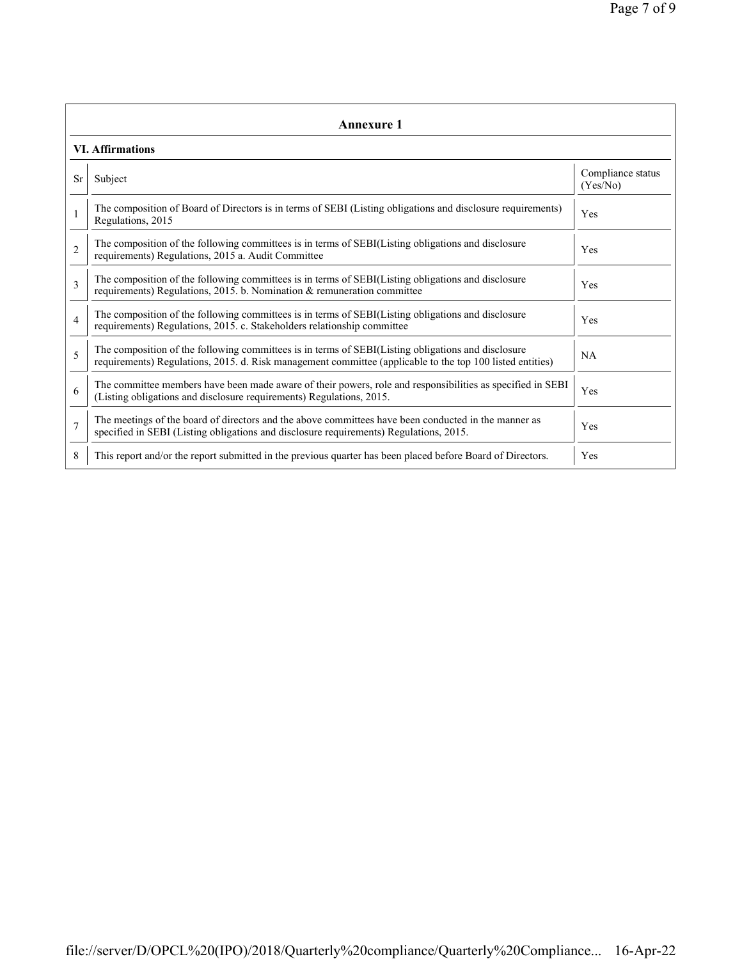| Annexure 1              |                                                                                                                                                                                                                 |                               |  |  |  |
|-------------------------|-----------------------------------------------------------------------------------------------------------------------------------------------------------------------------------------------------------------|-------------------------------|--|--|--|
| <b>VI.</b> Affirmations |                                                                                                                                                                                                                 |                               |  |  |  |
| <b>Sr</b>               | Subject                                                                                                                                                                                                         | Compliance status<br>(Yes/No) |  |  |  |
|                         | The composition of Board of Directors is in terms of SEBI (Listing obligations and disclosure requirements)<br>Regulations, 2015                                                                                | Yes                           |  |  |  |
| $\overline{2}$          | The composition of the following committees is in terms of SEBI(Listing obligations and disclosure<br>requirements) Regulations, 2015 a. Audit Committee                                                        | Yes                           |  |  |  |
| 3                       | The composition of the following committees is in terms of SEBI(Listing obligations and disclosure<br>requirements) Regulations, 2015. b. Nomination $\&$ remuneration committee                                | Yes                           |  |  |  |
| $\overline{4}$          | The composition of the following committees is in terms of SEBI(Listing obligations and disclosure<br>requirements) Regulations, 2015. c. Stakeholders relationship committee                                   | <b>Yes</b>                    |  |  |  |
| 5                       | The composition of the following committees is in terms of SEBI(Listing obligations and disclosure<br>requirements) Regulations, 2015. d. Risk management committee (applicable to the top 100 listed entities) | NA                            |  |  |  |
| 6                       | The committee members have been made aware of their powers, role and responsibilities as specified in SEBI<br>(Listing obligations and disclosure requirements) Regulations, 2015.                              | Yes                           |  |  |  |
| $\overline{7}$          | The meetings of the board of directors and the above committees have been conducted in the manner as<br>specified in SEBI (Listing obligations and disclosure requirements) Regulations, 2015.                  | Yes                           |  |  |  |
| 8                       | This report and/or the report submitted in the previous quarter has been placed before Board of Directors.                                                                                                      | Yes                           |  |  |  |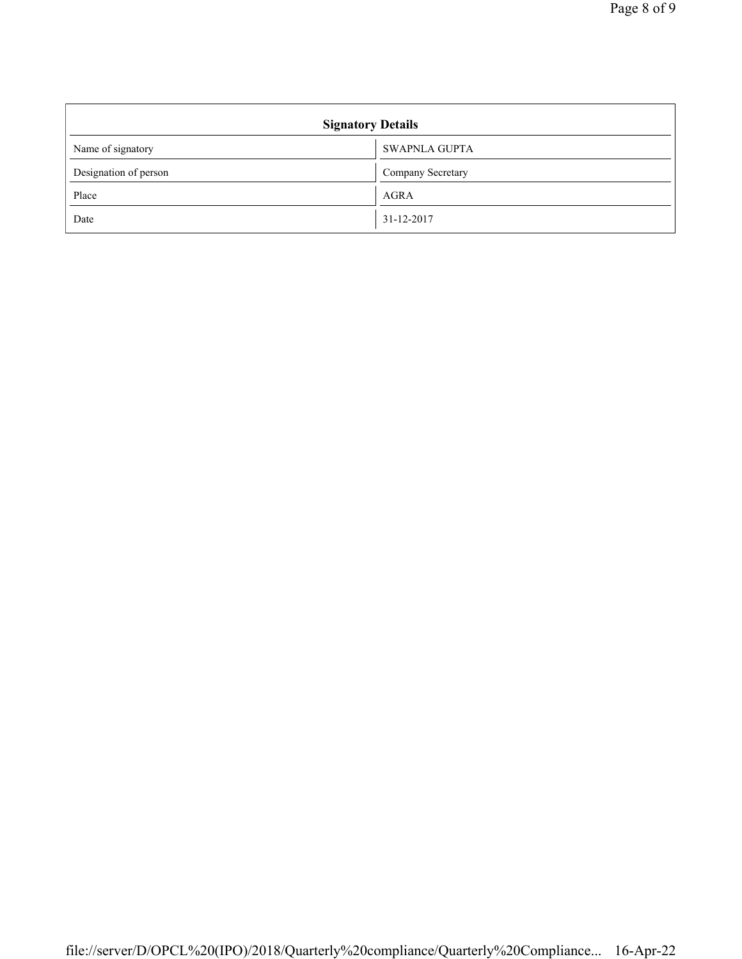| <b>Signatory Details</b> |                      |  |  |
|--------------------------|----------------------|--|--|
| Name of signatory        | <b>SWAPNLA GUPTA</b> |  |  |
| Designation of person    | Company Secretary    |  |  |
| Place                    | <b>AGRA</b>          |  |  |
| Date                     | 31-12-2017           |  |  |